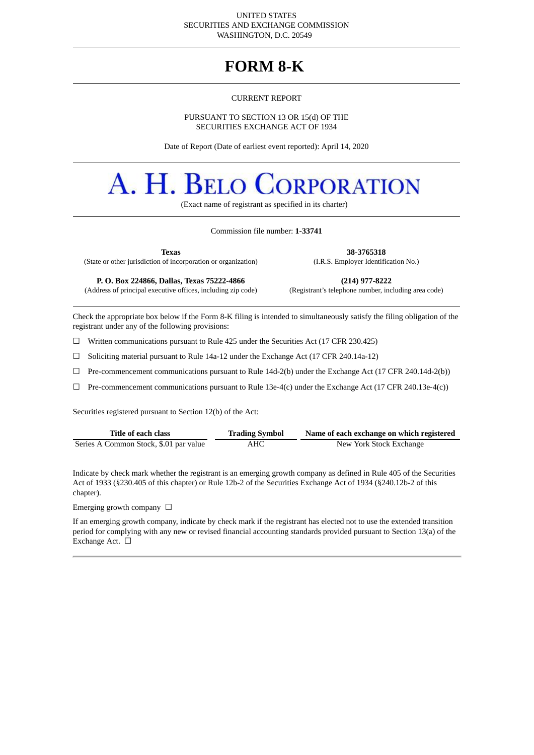#### UNITED STATES SECURITIES AND EXCHANGE COMMISSION WASHINGTON, D.C. 20549

# **FORM 8-K**

#### CURRENT REPORT

#### PURSUANT TO SECTION 13 OR 15(d) OF THE SECURITIES EXCHANGE ACT OF 1934

Date of Report (Date of earliest event reported): April 14, 2020

# A. H. BELO **DRPORATION**

(Exact name of registrant as specified in its charter)

#### Commission file number: **1-33741**

**Texas 38-3765318**

(State or other jurisdiction of incorporation or organization) (I.R.S. Employer Identification No.)

(Address of principal executive offices, including zip code)

**P. O. Box 224866, Dallas, Texas 75222-4866 (214) 977-8222**

Check the appropriate box below if the Form 8-K filing is intended to simultaneously satisfy the filing obligation of the registrant under any of the following provisions:

☐ Written communications pursuant to Rule 425 under the Securities Act (17 CFR 230.425)

 $\Box$  Soliciting material pursuant to Rule 14a-12 under the Exchange Act (17 CFR 240.14a-12)

☐ Pre-commencement communications pursuant to Rule 14d-2(b) under the Exchange Act (17 CFR 240.14d-2(b))

 $\Box$  Pre-commencement communications pursuant to Rule 13e-4(c) under the Exchange Act (17 CFR 240.13e-4(c))

Securities registered pursuant to Section 12(b) of the Act:

| Title of each class                    | <b>Trading Symbol</b> | Name of each exchange on which registered |
|----------------------------------------|-----------------------|-------------------------------------------|
| Series A Common Stock, \$.01 par value | AHC                   | New York Stock Exchange                   |

Indicate by check mark whether the registrant is an emerging growth company as defined in Rule 405 of the Securities Act of 1933 (§230.405 of this chapter) or Rule 12b-2 of the Securities Exchange Act of 1934 (§240.12b-2 of this chapter).

Emerging growth company  $\Box$ 

If an emerging growth company, indicate by check mark if the registrant has elected not to use the extended transition period for complying with any new or revised financial accounting standards provided pursuant to Section 13(a) of the Exchange Act. □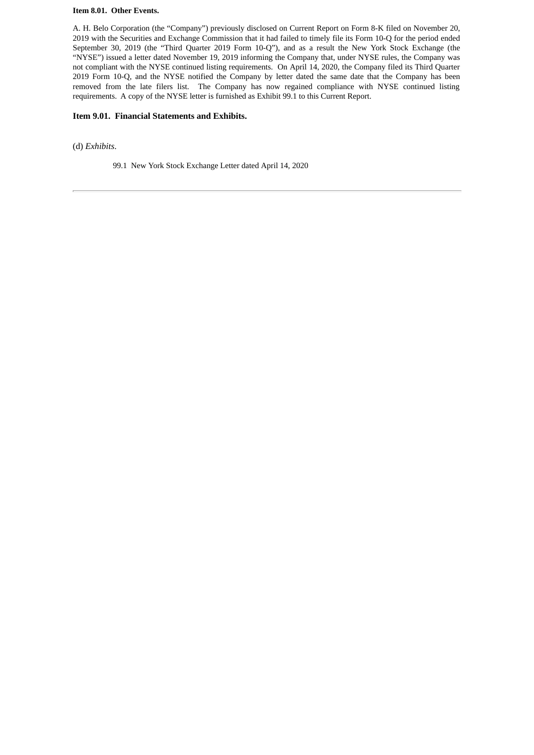#### **Item 8.01. Other Events.**

A. H. Belo Corporation (the "Company") previously disclosed on Current Report on Form 8-K filed on November 20, 2019 with the Securities and Exchange Commission that it had failed to timely file its Form 10-Q for the period ended September 30, 2019 (the "Third Quarter 2019 Form 10-Q"), and as a result the New York Stock Exchange (the "NYSE") issued a letter dated November 19, 2019 informing the Company that, under NYSE rules, the Company was not compliant with the NYSE continued listing requirements. On April 14, 2020, the Company filed its Third Quarter 2019 Form 10-Q, and the NYSE notified the Company by letter dated the same date that the Company has been removed from the late filers list. The Company has now regained compliance with NYSE continued listing requirements. A copy of the NYSE letter is furnished as Exhibit 99.1 to this Current Report.

## **Item 9.01. Financial Statements and Exhibits.**

(d) *Exhibits*.

99.1 New York Stock Exchange Letter dated April 14, 2020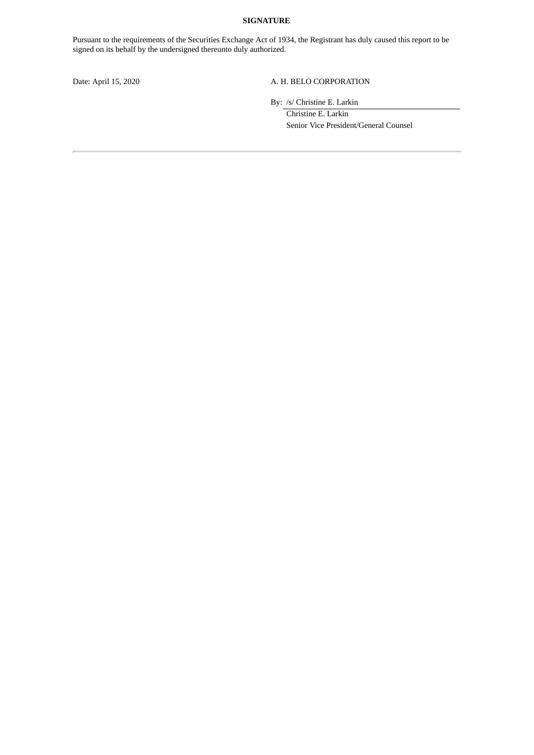## **SIGNATURE**

Pursuant to the requirements of the Securities Exchange Act of 1934, the Registrant has duly caused this report to be signed on its behalf by the undersigned thereunto duly authorized.

# Date: April 15, 2020 A. H. BELO CORPORATION

By: /s/ Christine E. Larkin

Christine E. Larkin Senior Vice President/General Counsel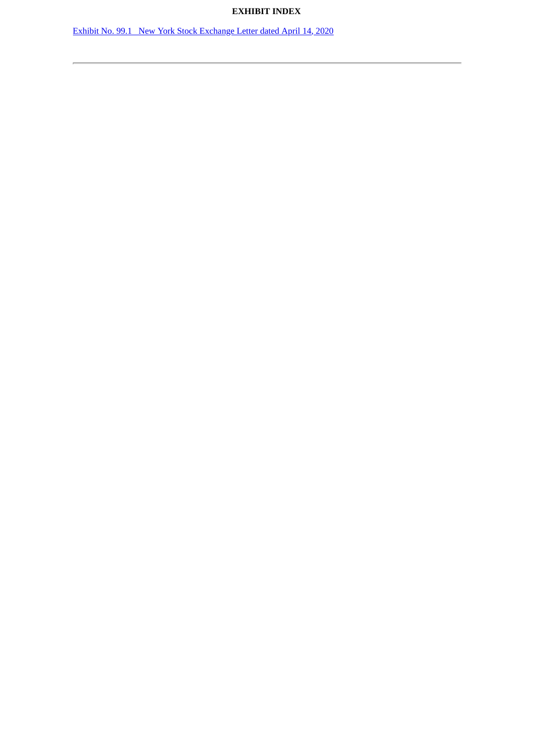# **EXHIBIT INDEX**

Exhibit No. 99.1 New York Stock [Exchange](#page-4-0) Letter dated April 14, 2020